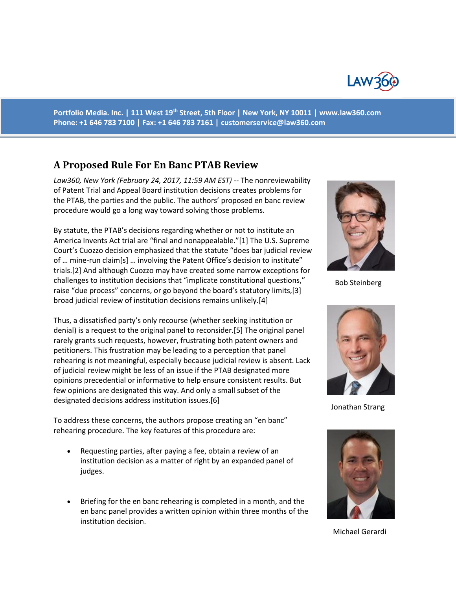

**Portfolio Media. Inc. | 111 West 19th Street, 5th Floor | New York, NY 10011 | www.law360.com Phone: +1 646 783 7100 | Fax: +1 646 783 7161 | [customerservice@law360.com](mailto:customerservice@law360.com)**

# **A Proposed Rule For En Banc PTAB Review**

*Law360, New York (February 24, 2017, 11:59 AM EST) --* The nonreviewability of Patent Trial and Appeal Board institution decisions creates problems for the PTAB, the parties and the public. The authors' proposed en banc review procedure would go a long way toward solving those problems.

By statute, the PTAB's decisions regarding whether or not to institute an America Invents Act trial are "final and nonappealable."[1] The U.S. Supreme Court's Cuozzo decision emphasized that the statute "does bar judicial review of … mine-run claim[s] … involving the Patent Office's decision to institute" trials.[2] And although Cuozzo may have created some narrow exceptions for challenges to institution decisions that "implicate constitutional questions," raise "due process" concerns, or go beyond the board's statutory limits,[3] broad judicial review of institution decisions remains unlikely.[4]

Thus, a dissatisfied party's only recourse (whether seeking institution or denial) is a request to the original panel to reconsider.[5] The original panel rarely grants such requests, however, frustrating both patent owners and petitioners. This frustration may be leading to a perception that panel rehearing is not meaningful, especially because judicial review is absent. Lack of judicial review might be less of an issue if the PTAB designated more opinions precedential or informative to help ensure consistent results. But few opinions are designated this way. And only a small subset of the designated decisions address institution issues.[6]

To address these concerns, the authors propose creating an "en banc" rehearing procedure. The key features of this procedure are:

- Requesting parties, after paying a fee, obtain a review of an institution decision as a matter of right by an expanded panel of judges.
- Briefing for the en banc rehearing is completed in a month, and the en banc panel provides a written opinion within three months of the institution decision.



Bob Steinberg



Jonathan Strang



Michael Gerardi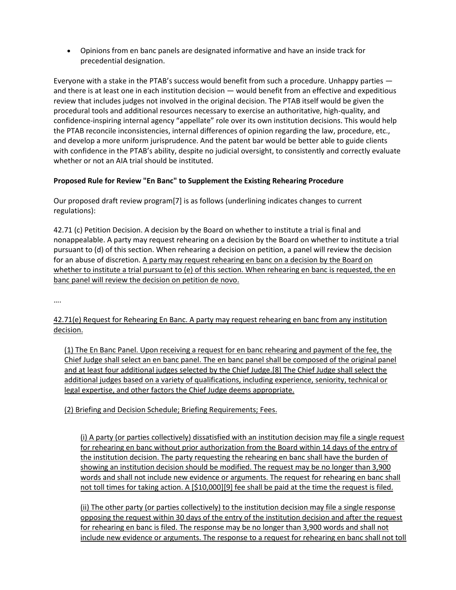Opinions from en banc panels are designated informative and have an inside track for precedential designation.

Everyone with a stake in the PTAB's success would benefit from such a procedure. Unhappy parties and there is at least one in each institution decision — would benefit from an effective and expeditious review that includes judges not involved in the original decision. The PTAB itself would be given the procedural tools and additional resources necessary to exercise an authoritative, high-quality, and confidence-inspiring internal agency "appellate" role over its own institution decisions. This would help the PTAB reconcile inconsistencies, internal differences of opinion regarding the law, procedure, etc., and develop a more uniform jurisprudence. And the patent bar would be better able to guide clients with confidence in the PTAB's ability, despite no judicial oversight, to consistently and correctly evaluate whether or not an AIA trial should be instituted.

### **Proposed Rule for Review "En Banc" to Supplement the Existing Rehearing Procedure**

Our proposed draft review program[7] is as follows (underlining indicates changes to current regulations):

42.71 (c) Petition Decision. A decision by the Board on whether to institute a trial is final and nonappealable. A party may request rehearing on a decision by the Board on whether to institute a trial pursuant to (d) of this section. When rehearing a decision on petition, a panel will review the decision for an abuse of discretion. A party may request rehearing en banc on a decision by the Board on whether to institute a trial pursuant to (e) of this section. When rehearing en banc is requested, the en banc panel will review the decision on petition de novo.

….

# 42.71(e) Request for Rehearing En Banc. A party may request rehearing en banc from any institution decision.

(1) The En Banc Panel. Upon receiving a request for en banc rehearing and payment of the fee, the Chief Judge shall select an en banc panel. The en banc panel shall be composed of the original panel and at least four additional judges selected by the Chief Judge.[8] The Chief Judge shall select the additional judges based on a variety of qualifications, including experience, seniority, technical or legal expertise, and other factors the Chief Judge deems appropriate.

## (2) Briefing and Decision Schedule; Briefing Requirements; Fees.

(i) A party (or parties collectively) dissatisfied with an institution decision may file a single request for rehearing en banc without prior authorization from the Board within 14 days of the entry of the institution decision. The party requesting the rehearing en banc shall have the burden of showing an institution decision should be modified. The request may be no longer than 3,900 words and shall not include new evidence or arguments. The request for rehearing en banc shall not toll times for taking action. A [\$10,000][9] fee shall be paid at the time the request is filed.

(ii) The other party (or parties collectively) to the institution decision may file a single response opposing the request within 30 days of the entry of the institution decision and after the request for rehearing en banc is filed. The response may be no longer than 3,900 words and shall not include new evidence or arguments. The response to a request for rehearing en banc shall not toll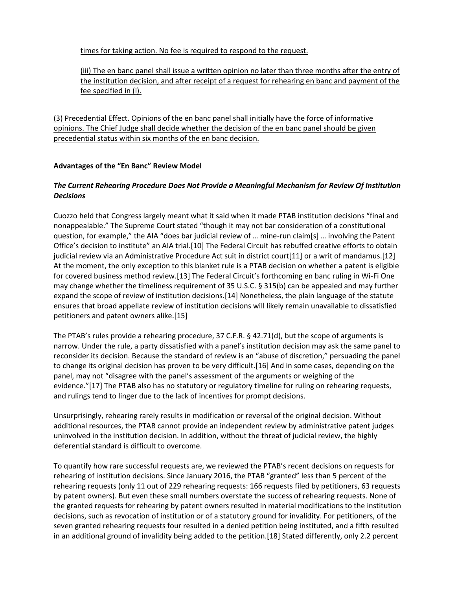times for taking action. No fee is required to respond to the request.

(iii) The en banc panel shall issue a written opinion no later than three months after the entry of the institution decision, and after receipt of a request for rehearing en banc and payment of the fee specified in (i).

(3) Precedential Effect. Opinions of the en banc panel shall initially have the force of informative opinions. The Chief Judge shall decide whether the decision of the en banc panel should be given precedential status within six months of the en banc decision.

### **Advantages of the "En Banc" Review Model**

## *The Current Rehearing Procedure Does Not Provide a Meaningful Mechanism for Review Of Institution Decisions*

Cuozzo held that Congress largely meant what it said when it made PTAB institution decisions "final and nonappealable." The Supreme Court stated "though it may not bar consideration of a constitutional question, for example," the AIA "does bar judicial review of … mine-run claim[s] … involving the Patent Office's decision to institute" an AIA trial.[10] The Federal Circuit has rebuffed creative efforts to obtain judicial review via an Administrative Procedure Act suit in district court[11] or a writ of mandamus.[12] At the moment, the only exception to this blanket rule is a PTAB decision on whether a patent is eligible for covered business method review.[13] The Federal Circuit's forthcoming en banc ruling in Wi-Fi One may change whether the timeliness requirement of 35 U.S.C. § 315(b) can be appealed and may further expand the scope of review of institution decisions.[14] Nonetheless, the plain language of the statute ensures that broad appellate review of institution decisions will likely remain unavailable to dissatisfied petitioners and patent owners alike.[15]

The PTAB's rules provide a rehearing procedure, 37 C.F.R. § 42.71(d), but the scope of arguments is narrow. Under the rule, a party dissatisfied with a panel's institution decision may ask the same panel to reconsider its decision. Because the standard of review is an "abuse of discretion," persuading the panel to change its original decision has proven to be very difficult.[16] And in some cases, depending on the panel, may not "disagree with the panel's assessment of the arguments or weighing of the evidence."[17] The PTAB also has no statutory or regulatory timeline for ruling on rehearing requests, and rulings tend to linger due to the lack of incentives for prompt decisions.

Unsurprisingly, rehearing rarely results in modification or reversal of the original decision. Without additional resources, the PTAB cannot provide an independent review by administrative patent judges uninvolved in the institution decision. In addition, without the threat of judicial review, the highly deferential standard is difficult to overcome.

To quantify how rare successful requests are, we reviewed the PTAB's recent decisions on requests for rehearing of institution decisions. Since January 2016, the PTAB "granted" less than 5 percent of the rehearing requests (only 11 out of 229 rehearing requests: 166 requests filed by petitioners, 63 requests by patent owners). But even these small numbers overstate the success of rehearing requests. None of the granted requests for rehearing by patent owners resulted in material modifications to the institution decisions, such as revocation of institution or of a statutory ground for invalidity. For petitioners, of the seven granted rehearing requests four resulted in a denied petition being instituted, and a fifth resulted in an additional ground of invalidity being added to the petition.[18] Stated differently, only 2.2 percent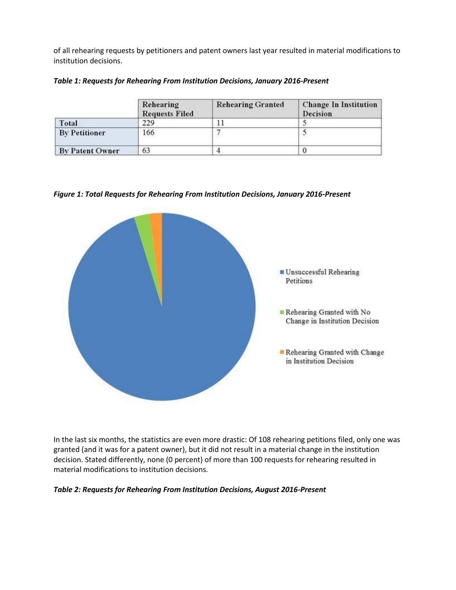of all rehearing requests by petitioners and patent owners last year resulted in material modifications to institution decisions.

|  |  |  | Table 1: Requests for Rehearing From Institution Decisions, January 2016-Present |
|--|--|--|----------------------------------------------------------------------------------|
|--|--|--|----------------------------------------------------------------------------------|

|                        | Rehearing<br><b>Requests Filed</b> | <b>Rehearing Granted</b> | <b>Change In Institution</b><br>Decision |
|------------------------|------------------------------------|--------------------------|------------------------------------------|
| Total                  | 229                                |                          |                                          |
| <b>By Petitioner</b>   | 166                                |                          |                                          |
| <b>By Patent Owner</b> | 63                                 |                          |                                          |

*Figure 1: Total Requests for Rehearing From Institution Decisions, January 2016-Present*



In the last six months, the statistics are even more drastic: Of 108 rehearing petitions filed, only one was granted (and it was for a patent owner), but it did not result in a material change in the institution decision. Stated differently, none (0 percent) of more than 100 requests for rehearing resulted in material modifications to institution decisions.

#### *Table 2: Requests for Rehearing From Institution Decisions, August 2016-Present*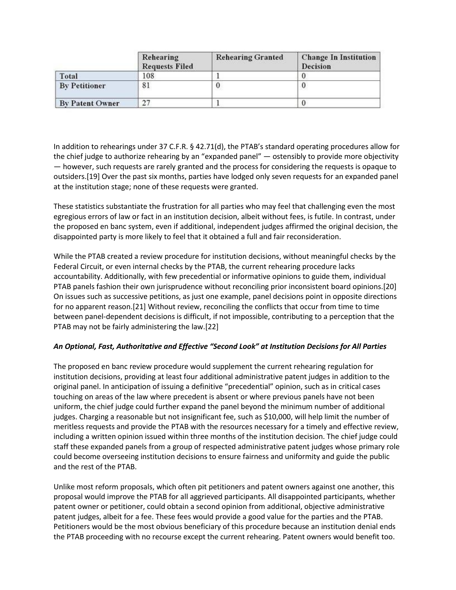|                        | Rehearing<br><b>Requests Filed</b> | <b>Rehearing Granted</b> | <b>Change In Institution</b><br><b>Decision</b> |
|------------------------|------------------------------------|--------------------------|-------------------------------------------------|
| Total                  | 108                                |                          |                                                 |
| <b>By Petitioner</b>   | 81                                 |                          |                                                 |
| <b>By Patent Owner</b> | 27                                 |                          |                                                 |

In addition to rehearings under 37 C.F.R. § 42.71(d), the PTAB's standard operating procedures allow for the chief judge to authorize rehearing by an "expanded panel" — ostensibly to provide more objectivity — however, such requests are rarely granted and the process for considering the requests is opaque to outsiders.[19] Over the past six months, parties have lodged only seven requests for an expanded panel at the institution stage; none of these requests were granted.

These statistics substantiate the frustration for all parties who may feel that challenging even the most egregious errors of law or fact in an institution decision, albeit without fees, is futile. In contrast, under the proposed en banc system, even if additional, independent judges affirmed the original decision, the disappointed party is more likely to feel that it obtained a full and fair reconsideration.

While the PTAB created a review procedure for institution decisions, without meaningful checks by the Federal Circuit, or even internal checks by the PTAB, the current rehearing procedure lacks accountability. Additionally, with few precedential or informative opinions to guide them, individual PTAB panels fashion their own jurisprudence without reconciling prior inconsistent board opinions.[20] On issues such as successive petitions, as just one example, panel decisions point in opposite directions for no apparent reason.[21] Without review, reconciling the conflicts that occur from time to time between panel-dependent decisions is difficult, if not impossible, contributing to a perception that the PTAB may not be fairly administering the law.[22]

#### *An Optional, Fast, Authoritative and Effective "Second Look" at Institution Decisions for All Parties*

The proposed en banc review procedure would supplement the current rehearing regulation for institution decisions, providing at least four additional administrative patent judges in addition to the original panel. In anticipation of issuing a definitive "precedential" opinion, such as in critical cases touching on areas of the law where precedent is absent or where previous panels have not been uniform, the chief judge could further expand the panel beyond the minimum number of additional judges. Charging a reasonable but not insignificant fee, such as \$10,000, will help limit the number of meritless requests and provide the PTAB with the resources necessary for a timely and effective review, including a written opinion issued within three months of the institution decision. The chief judge could staff these expanded panels from a group of respected administrative patent judges whose primary role could become overseeing institution decisions to ensure fairness and uniformity and guide the public and the rest of the PTAB.

Unlike most reform proposals, which often pit petitioners and patent owners against one another, this proposal would improve the PTAB for all aggrieved participants. All disappointed participants, whether patent owner or petitioner, could obtain a second opinion from additional, objective administrative patent judges, albeit for a fee. These fees would provide a good value for the parties and the PTAB. Petitioners would be the most obvious beneficiary of this procedure because an institution denial ends the PTAB proceeding with no recourse except the current rehearing. Patent owners would benefit too.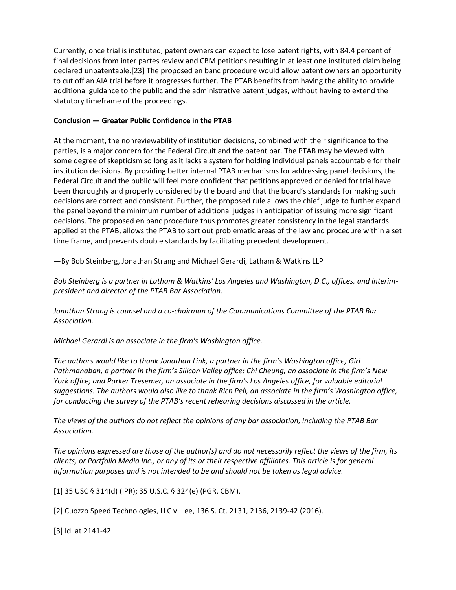Currently, once trial is instituted, patent owners can expect to lose patent rights, with 84.4 percent of final decisions from inter partes review and CBM petitions resulting in at least one instituted claim being declared unpatentable.[23] The proposed en banc procedure would allow patent owners an opportunity to cut off an AIA trial before it progresses further. The PTAB benefits from having the ability to provide additional guidance to the public and the administrative patent judges, without having to extend the statutory timeframe of the proceedings.

## **Conclusion — Greater Public Confidence in the PTAB**

At the moment, the nonreviewability of institution decisions, combined with their significance to the parties, is a major concern for the Federal Circuit and the patent bar. The PTAB may be viewed with some degree of skepticism so long as it lacks a system for holding individual panels accountable for their institution decisions. By providing better internal PTAB mechanisms for addressing panel decisions, the Federal Circuit and the public will feel more confident that petitions approved or denied for trial have been thoroughly and properly considered by the board and that the board's standards for making such decisions are correct and consistent. Further, the proposed rule allows the chief judge to further expand the panel beyond the minimum number of additional judges in anticipation of issuing more significant decisions. The proposed en banc procedure thus promotes greater consistency in the legal standards applied at the PTAB, allows the PTAB to sort out problematic areas of the law and procedure within a set time frame, and prevents double standards by facilitating precedent development.

—By Bob Steinberg, Jonathan Strang and Michael Gerardi, Latham & Watkins LLP

*Bob Steinberg is a partner in Latham & Watkins' Los Angeles and Washington, D.C., offices, and interimpresident and director of the PTAB Bar Association.*

*Jonathan Strang is counsel and a co-chairman of the Communications Committee of the PTAB Bar Association.*

*Michael Gerardi is an associate in the firm's Washington office.*

*The authors would like to thank Jonathan Link, a partner in the firm's Washington office; Giri Pathmanaban, a partner in the firm's Silicon Valley office; Chi Cheung, an associate in the firm's New York office; and Parker Tresemer, an associate in the firm's Los Angeles office, for valuable editorial suggestions. The authors would also like to thank Rich Pell, an associate in the firm's Washington office, for conducting the survey of the PTAB's recent rehearing decisions discussed in the article.*

*The views of the authors do not reflect the opinions of any bar association, including the PTAB Bar Association.*

*The opinions expressed are those of the author(s) and do not necessarily reflect the views of the firm, its clients, or Portfolio Media Inc., or any of its or their respective affiliates. This article is for general information purposes and is not intended to be and should not be taken as legal advice.*

[1] 35 USC § 314(d) (IPR); 35 U.S.C. § 324(e) (PGR, CBM).

[2] Cuozzo Speed Technologies, LLC v. Lee, 136 S. Ct. 2131, 2136, 2139-42 (2016).

[3] Id. at 2141-42.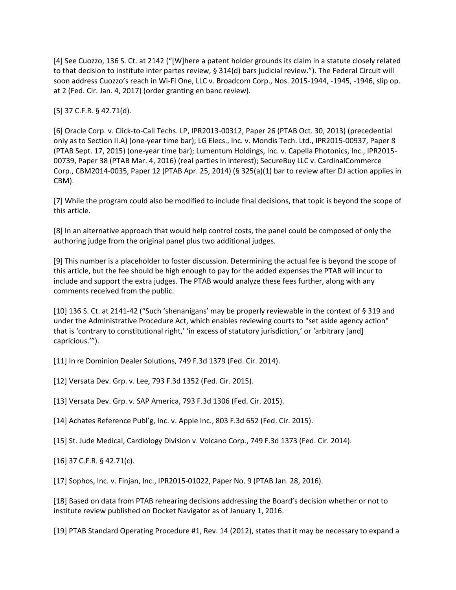[4] See Cuozzo, 136 S. Ct. at 2142 ("[W]here a patent holder grounds its claim in a statute closely related to that decision to institute inter partes review, § 314(d) bars judicial review."). The Federal Circuit will soon address Cuozzo's reach in Wi-Fi One, LLC v. Broadcom Corp., Nos. 2015-1944, -1945, -1946, slip op. at 2 (Fed. Cir. Jan. 4, 2017) (order granting en banc review).

[5] 37 C.F.R. § 42.71(d).

[6] Oracle Corp. v. Click-to-Call Techs. LP, IPR2013-00312, Paper 26 (PTAB Oct. 30, 2013) (precedential only as to Section II.A) (one-year time bar); LG Elecs., Inc. v. Mondis Tech. Ltd., IPR2015-00937, Paper 8 (PTAB Sept. 17, 2015) (one-year time bar); Lumentum Holdings, Inc. v. Capella Photonics, Inc., IPR2015- 00739, Paper 38 (PTAB Mar. 4, 2016) (real parties in interest); SecureBuy LLC v. CardinalCommerce Corp., CBM2014-0035, Paper 12 (PTAB Apr. 25, 2014) (§ 325(a)(1) bar to review after DJ action applies in CBM).

[7] While the program could also be modified to include final decisions, that topic is beyond the scope of this article.

[8] In an alternative approach that would help control costs, the panel could be composed of only the authoring judge from the original panel plus two additional judges.

[9] This number is a placeholder to foster discussion. Determining the actual fee is beyond the scope of this article, but the fee should be high enough to pay for the added expenses the PTAB will incur to include and support the extra judges. The PTAB would analyze these fees further, along with any comments received from the public.

[10] 136 S. Ct. at 2141-42 ("Such 'shenanigans' may be properly reviewable in the context of § 319 and under the Administrative Procedure Act, which enables reviewing courts to "set aside agency action" that is 'contrary to constitutional right,' 'in excess of statutory jurisdiction,' or 'arbitrary [and] capricious.'").

[11] In re Dominion Dealer Solutions, 749 F.3d 1379 (Fed. Cir. 2014).

[12] Versata Dev. Grp. v. Lee, 793 F.3d 1352 (Fed. Cir. 2015).

[13] Versata Dev. Grp. v. SAP America, 793 F.3d 1306 (Fed. Cir. 2015).

[14] Achates Reference Publ'g, Inc. v. Apple Inc., 803 F.3d 652 (Fed. Cir. 2015).

[15] St. Jude Medical, Cardiology Division v. Volcano Corp., 749 F.3d 1373 (Fed. Cir. 2014).

[16] 37 C.F.R. § 42.71(c).

[17] Sophos, Inc. v. Finjan, Inc., IPR2015-01022, Paper No. 9 (PTAB Jan. 28, 2016).

[18] Based on data from PTAB rehearing decisions addressing the Board's decision whether or not to institute review published on Docket Navigator as of January 1, 2016.

[19] PTAB Standard Operating Procedure #1, Rev. 14 (2012), states that it may be necessary to expand a